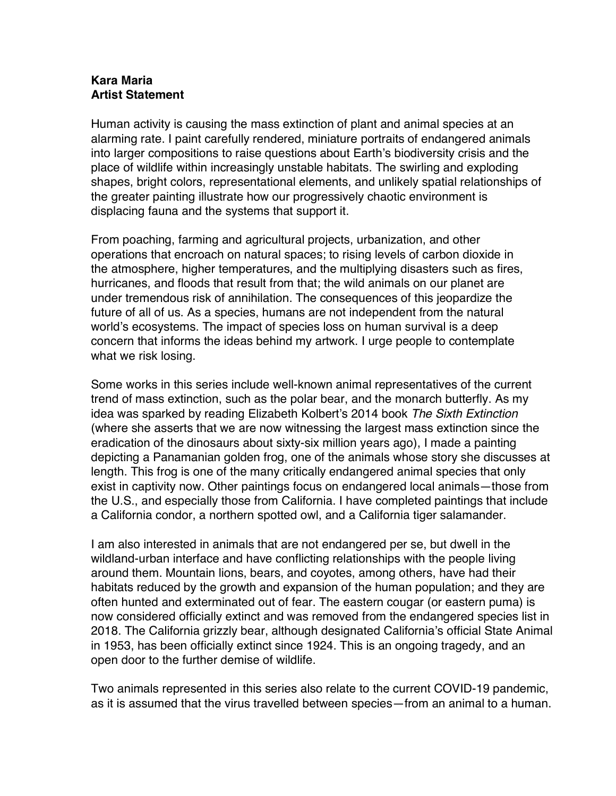## **Kara Maria Artist Statement**

Human activity is causing the mass extinction of plant and animal species at an alarming rate. I paint carefully rendered, miniature portraits of endangered animals into larger compositions to raise questions about Earth's biodiversity crisis and the place of wildlife within increasingly unstable habitats. The swirling and exploding shapes, bright colors, representational elements, and unlikely spatial relationships of the greater painting illustrate how our progressively chaotic environment is displacing fauna and the systems that support it.

From poaching, farming and agricultural projects, urbanization, and other operations that encroach on natural spaces; to rising levels of carbon dioxide in the atmosphere, higher temperatures, and the multiplying disasters such as fires, hurricanes, and floods that result from that; the wild animals on our planet are under tremendous risk of annihilation. The consequences of this jeopardize the future of all of us. As a species, humans are not independent from the natural world's ecosystems. The impact of species loss on human survival is a deep concern that informs the ideas behind my artwork. I urge people to contemplate what we risk losing.

Some works in this series include well-known animal representatives of the current trend of mass extinction, such as the polar bear, and the monarch butterfly. As my idea was sparked by reading Elizabeth Kolbert's 2014 book *The Sixth Extinction* (where she asserts that we are now witnessing the largest mass extinction since the eradication of the dinosaurs about sixty-six million years ago), I made a painting depicting a Panamanian golden frog, one of the animals whose story she discusses at length. This frog is one of the many critically endangered animal species that only exist in captivity now. Other paintings focus on endangered local animals—those from the U.S., and especially those from California. I have completed paintings that include a California condor, a northern spotted owl, and a California tiger salamander.

I am also interested in animals that are not endangered per se, but dwell in the wildland-urban interface and have conflicting relationships with the people living around them. Mountain lions, bears, and coyotes, among others, have had their habitats reduced by the growth and expansion of the human population; and they are often hunted and exterminated out of fear. The eastern cougar (or eastern puma) is now considered officially extinct and was removed from the endangered species list in 2018. The California grizzly bear, although designated California's official State Animal in 1953, has been officially extinct since 1924. This is an ongoing tragedy, and an open door to the further demise of wildlife.

Two animals represented in this series also relate to the current COVID-19 pandemic, as it is assumed that the virus travelled between species—from an animal to a human.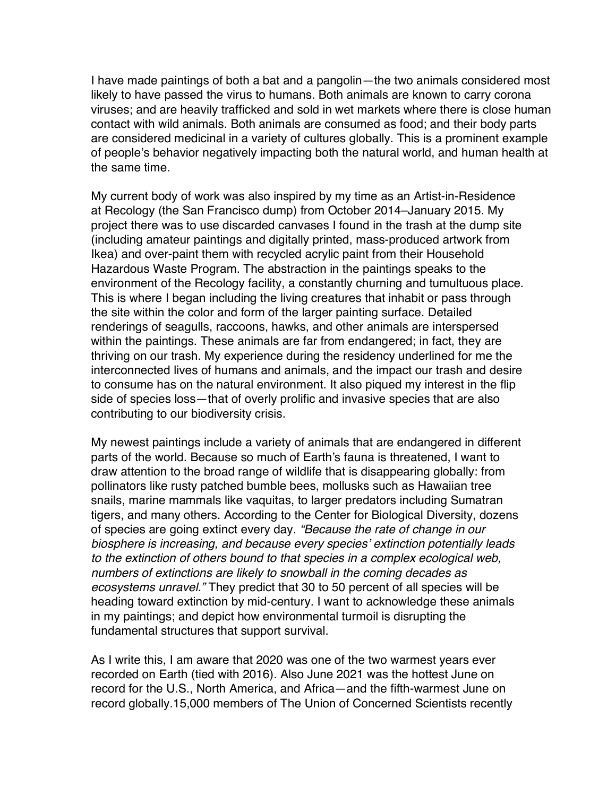I have made paintings of both a bat and a pangolin—the two animals considered most likely to have passed the virus to humans. Both animals are known to carry corona viruses; and are heavily trafficked and sold in wet markets where there is close human contact with wild animals. Both animals are consumed as food; and their body parts are considered medicinal in a variety of cultures globally. This is a prominent example of people's behavior negatively impacting both the natural world, and human health at the same time.

My current body of work was also inspired by my time as an Artist-in-Residence at Recology (the San Francisco dump) from October 2014–January 2015. My project there was to use discarded canvases I found in the trash at the dump site (including amateur paintings and digitally printed, mass-produced artwork from Ikea) and over-paint them with recycled acrylic paint from their Household Hazardous Waste Program. The abstraction in the paintings speaks to the environment of the Recology facility, a constantly churning and tumultuous place. This is where I began including the living creatures that inhabit or pass through the site within the color and form of the larger painting surface. Detailed renderings of seagulls, raccoons, hawks, and other animals are interspersed within the paintings. These animals are far from endangered; in fact, they are thriving on our trash. My experience during the residency underlined for me the interconnected lives of humans and animals, and the impact our trash and desire to consume has on the natural environment. It also piqued my interest in the flip side of species loss—that of overly prolific and invasive species that are also contributing to our biodiversity crisis.

My newest paintings include a variety of animals that are endangered in different parts of the world. Because so much of Earth's fauna is threatened, I want to draw attention to the broad range of wildlife that is disappearing globally: from pollinators like rusty patched bumble bees, mollusks such as Hawaiian tree snails, marine mammals like vaquitas, to larger predators including Sumatran tigers, and many others. According to the Center for Biological Diversity, dozens of species are going extinct every day. *"Because the rate of change in our biosphere is increasing, and because every species' extinction potentially leads to the extinction of others bound to that species in a complex ecological web, numbers of extinctions are likely to snowball in the coming decades as ecosystems unravel."* They predict that 30 to 50 percent of all species will be heading toward extinction by mid-century. I want to acknowledge these animals in my paintings; and depict how environmental turmoil is disrupting the fundamental structures that support survival.

As I write this, I am aware that 2020 was one of the two warmest years ever recorded on Earth (tied with 2016). Also June 2021 was the hottest June on record for the U.S., North America, and Africa—and the fifth-warmest June on record globally.15,000 members of The Union of Concerned Scientists recently